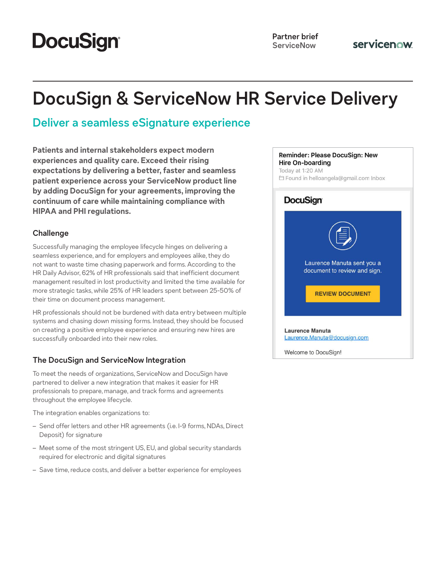# **DocuSign®**

# **DocuSign & ServiceNow HR Service Delivery**

### **Deliver a seamless eSignature experience**

**Patients and internal stakeholders expect modern experiences and quality care. Exceed their rising expectations by delivering a better, faster and seamless patient experience across your ServiceNow product line by adding DocuSign for your agreements, improving the continuum of care while maintaining compliance with HIPAA and PHI regulations.**

#### **Challenge**

Successfully managing the employee lifecycle hinges on delivering a seamless experience, and for employers and employees alike, they do not want to waste time chasing paperwork and forms. According to the HR Daily Advisor, 62% of HR professionals said that inefficient document management resulted in lost productivity and limited the time available for more strategic tasks, while 25% of HR leaders spent between 25-50% of their time on document process management.

HR professionals should not be burdened with data entry between multiple systems and chasing down missing forms. Instead, they should be focused on creating a positive employee experience and ensuring new hires are successfully onboarded into their new roles.

### **The DocuSign and ServiceNow Integration**

To meet the needs of organizations, ServiceNow and DocuSign have partnered to deliver a new integration that makes it easier for HR professionals to prepare, manage, and track forms and agreements throughout the employee lifecycle.

The integration enables organizations to:

- Send offer letters and other HR agreements (i.e. I-9 forms, NDAs, Direct Deposit) for signature
- Meet some of the most stringent US, EU, and global security standards required for electronic and digital signatures
- Save time, reduce costs, and deliver a better experience for employees